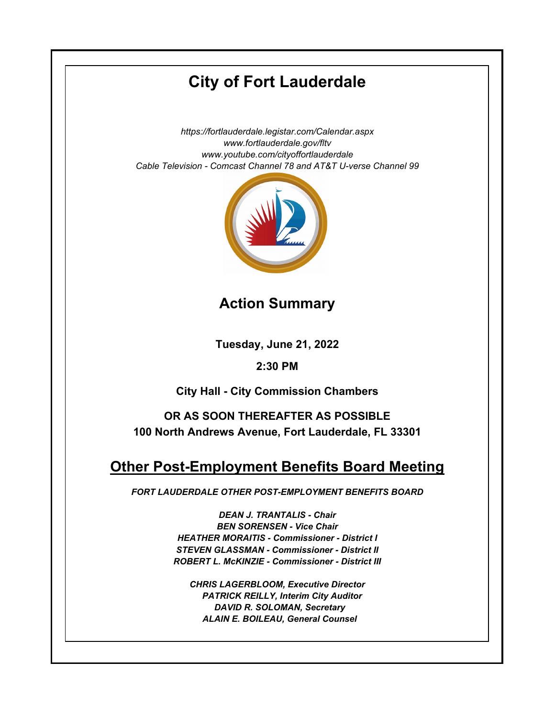# **City of Fort Lauderdale**

*https://fortlauderdale.legistar.com/Calendar.aspx www.fortlauderdale.gov/fltv www.youtube.com/cityoffortlauderdale Cable Television - Comcast Channel 78 and AT&T U-verse Channel 99*



**Action Summary**

**Tuesday, June 21, 2022**

# **2:30 PM**

**City Hall - City Commission Chambers**

**OR AS SOON THEREAFTER AS POSSIBLE 100 North Andrews Avenue, Fort Lauderdale, FL 33301**

# **Other Post-Employment Benefits Board Meeting**

*FORT LAUDERDALE OTHER POST-EMPLOYMENT BENEFITS BOARD*

*DEAN J. TRANTALIS - Chair BEN SORENSEN - Vice Chair HEATHER MORAITIS - Commissioner - District I STEVEN GLASSMAN - Commissioner - District II ROBERT L. McKINZIE - Commissioner - District III*

*CHRIS LAGERBLOOM, Executive Director PATRICK REILLY, Interim City Auditor DAVID R. SOLOMAN, Secretary ALAIN E. BOILEAU, General Counsel*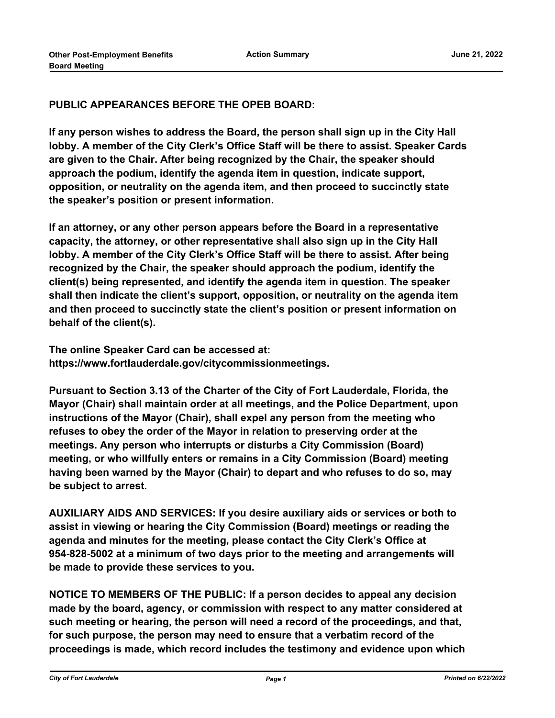## **PUBLIC APPEARANCES BEFORE THE OPEB BOARD:**

**If any person wishes to address the Board, the person shall sign up in the City Hall lobby. A member of the City Clerk's Office Staff will be there to assist. Speaker Cards are given to the Chair. After being recognized by the Chair, the speaker should approach the podium, identify the agenda item in question, indicate support, opposition, or neutrality on the agenda item, and then proceed to succinctly state the speaker's position or present information.**

**If an attorney, or any other person appears before the Board in a representative capacity, the attorney, or other representative shall also sign up in the City Hall lobby. A member of the City Clerk's Office Staff will be there to assist. After being recognized by the Chair, the speaker should approach the podium, identify the client(s) being represented, and identify the agenda item in question. The speaker shall then indicate the client's support, opposition, or neutrality on the agenda item and then proceed to succinctly state the client's position or present information on behalf of the client(s).**

**The online Speaker Card can be accessed at: https://www.fortlauderdale.gov/citycommissionmeetings.**

**Pursuant to Section 3.13 of the Charter of the City of Fort Lauderdale, Florida, the Mayor (Chair) shall maintain order at all meetings, and the Police Department, upon instructions of the Mayor (Chair), shall expel any person from the meeting who refuses to obey the order of the Mayor in relation to preserving order at the meetings. Any person who interrupts or disturbs a City Commission (Board) meeting, or who willfully enters or remains in a City Commission (Board) meeting having been warned by the Mayor (Chair) to depart and who refuses to do so, may be subject to arrest.**

**AUXILIARY AIDS AND SERVICES: If you desire auxiliary aids or services or both to assist in viewing or hearing the City Commission (Board) meetings or reading the agenda and minutes for the meeting, please contact the City Clerk's Office at 954-828-5002 at a minimum of two days prior to the meeting and arrangements will be made to provide these services to you.**

**NOTICE TO MEMBERS OF THE PUBLIC: If a person decides to appeal any decision made by the board, agency, or commission with respect to any matter considered at such meeting or hearing, the person will need a record of the proceedings, and that, for such purpose, the person may need to ensure that a verbatim record of the proceedings is made, which record includes the testimony and evidence upon which**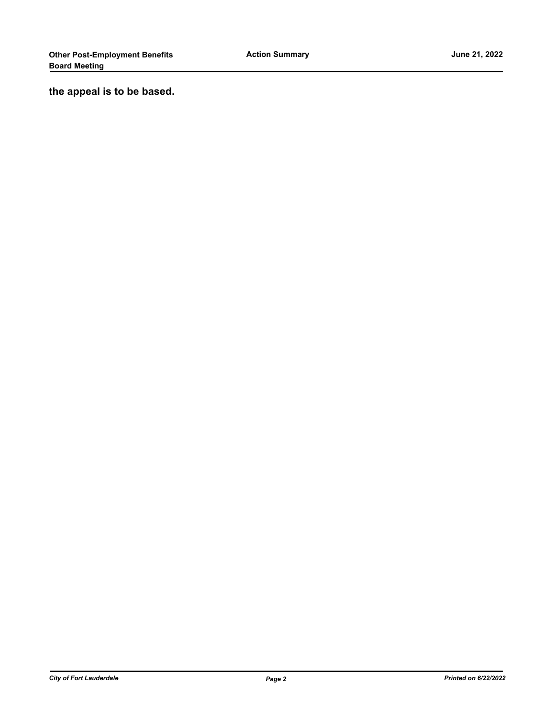**the appeal is to be based.**